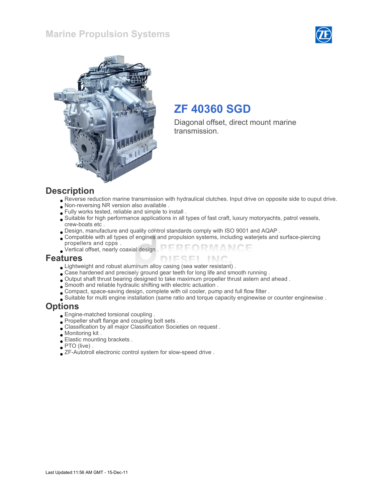#### Marine Propulsion Systems





## ZF 40360 SGD

Diagonal offset, direct mount marine transmission.

#### **Description**

- Reverse reduction marine transmission with hydraulical clutches. Input drive on opposite side to ouput drive.
- Non-reversing NR version also available .
- Fully works tested, reliable and simple to install .
- Suitable for high performance applications in all types of fast craft, luxury motoryachts, patrol vessels, crew-boats etc .
- Design, manufacture and quality control standards comply with ISO 9001 and AQAP .
- Compatible with all types of engines and propulsion systems, including waterjets and surface-piercing propellers and cpps .
- FORMANCE Vertical offset, nearly coaxial design .

#### Features

- Lightweight and robust aluminum alloy casing (sea water resistant) .
- Case hardened and precisely ground gear teeth for long life and smooth running .
- Output shaft thrust bearing designed to take maximum propeller thrust astern and ahead .
- Smooth and reliable hydraulic shifting with electric actuation .
- Compact, space-saving design, complete with oil cooler, pump and full flow filter .
- Suitable for multi engine installation (same ratio and torque capacity enginewise or counter enginewise .

#### **Options**

- Engine-matched torsional coupling .
- Propeller shaft flange and coupling bolt sets .
- Classification by all major Classification Societies on request .
- Monitoring kit .
- Elastic mounting brackets .
- PTO (live) .
- ZF-Autotroll electronic control system for slow-speed drive .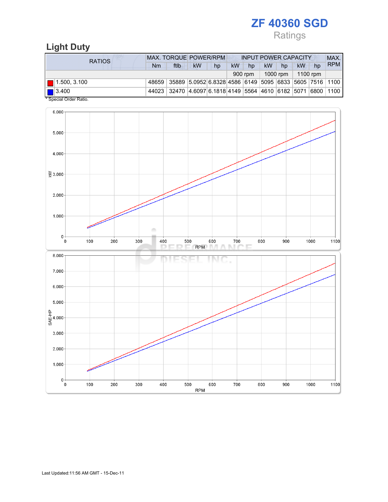Ratings

## Light Duty

| RATIOS                           | <b>MAX. TORQUE POWER/RPM</b> |                                                              |           |    | <b>INPUT POWER CAPACITY</b> |         |           |          |           |    | MAX.       |
|----------------------------------|------------------------------|--------------------------------------------------------------|-----------|----|-----------------------------|---------|-----------|----------|-----------|----|------------|
|                                  | Nm                           | ftlb                                                         | <b>kW</b> | hp | <b>kW</b>                   | hp      | <b>kW</b> | hp       | <b>kW</b> | hp | <b>RPM</b> |
|                                  |                              |                                                              |           |    |                             | 900 rpm |           | 1000 rpm | 1100 rpm  |    |            |
| $\blacksquare$ 1.500, 3.100      |                              | 48659 35889 5.0952 6.8328 4586 6149 5095 6833 5605 7516 1100 |           |    |                             |         |           |          |           |    |            |
| $\blacksquare$ 3.400<br>$\cdots$ |                              | 44023 32470 4.6097 6.1818 4149 5564 4610 6182 5071 6800 1100 |           |    |                             |         |           |          |           |    |            |

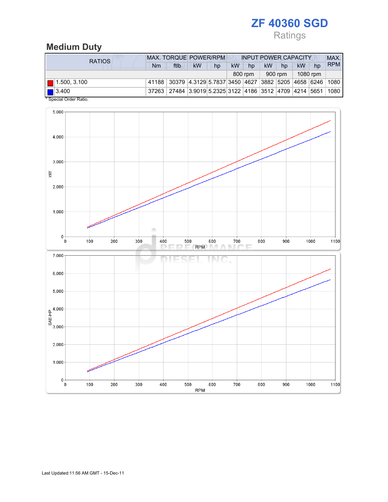## Ratings

### Medium Duty

| RATIOS                             | <b>MAX. TORQUE POWER/RPM</b><br><b>INPUT POWER CAPACITY</b> |                                                                                |    |    |    |         |    |         |          |    | MAX.       |
|------------------------------------|-------------------------------------------------------------|--------------------------------------------------------------------------------|----|----|----|---------|----|---------|----------|----|------------|
|                                    | Nm                                                          | ftlb                                                                           | kW | hp | kW | hp      | kW | hp      | kW       | hp | <b>RPM</b> |
|                                    |                                                             |                                                                                |    |    |    | 800 rpm |    | 900 rpm | 1080 rpm |    |            |
| $\blacksquare$ 1.500, 3.100        |                                                             | 41188 30379 4.3129 5.7837 3450 4627 3882 5205 4658 6246 1080                   |    |    |    |         |    |         |          |    |            |
| $\left  \right $ 3.400<br>$\cdots$ |                                                             | 37263   27484   3.9019 5.2325   3122   4186   3512   4709   4214   5651   1080 |    |    |    |         |    |         |          |    |            |

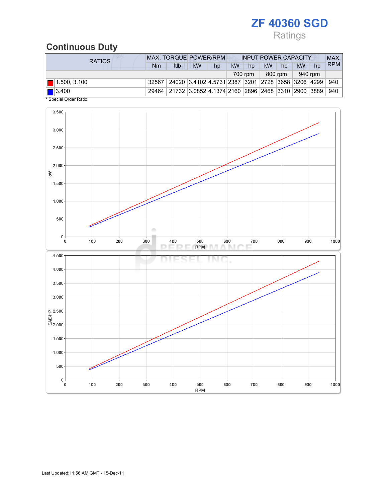## Ratings

## Continuous Duty

| <b>RATIOS</b>                                                                                                                                                                                                                                                                                                                                                                 | <b>MAX. TORQUE POWER/RPM</b><br><b>INPUT POWER CAPACITY</b> |                                                           |    |    |    |         |           |         |         |    | MAX.       |
|-------------------------------------------------------------------------------------------------------------------------------------------------------------------------------------------------------------------------------------------------------------------------------------------------------------------------------------------------------------------------------|-------------------------------------------------------------|-----------------------------------------------------------|----|----|----|---------|-----------|---------|---------|----|------------|
|                                                                                                                                                                                                                                                                                                                                                                               | Nm                                                          | ftlb                                                      | kW | hp | kW | hp      | <b>kW</b> | hp      | kW      | hp | <b>RPM</b> |
|                                                                                                                                                                                                                                                                                                                                                                               |                                                             |                                                           |    |    |    | 700 rpm |           | 800 rpm | 940 rpm |    |            |
| $\blacksquare$ 1.500, 3.100                                                                                                                                                                                                                                                                                                                                                   | 32567                                                       | 24020  3.4102  4.5731  2387  3201  2728  3658  3206  4299 |    |    |    |         |           |         |         |    | 940        |
| $\boxed{ }$ 3.400<br>$*$ $\alpha$ . $\alpha$ . $\alpha$ . $\alpha$ . $\alpha$ . $\alpha$ . $\alpha$ . $\alpha$ . $\alpha$ . $\alpha$ . $\alpha$ . $\alpha$ . $\alpha$ . $\alpha$ . $\alpha$ . $\alpha$ . $\alpha$ . $\alpha$ . $\alpha$ . $\alpha$ . $\alpha$ . $\alpha$ . $\alpha$ . $\alpha$ . $\alpha$ . $\alpha$ . $\alpha$ . $\alpha$ . $\alpha$ . $\alpha$ . $\alpha$ . |                                                             | 29464 21732 3.0852 4.1374 2160 2896 2468 3310 2900 3889   |    |    |    |         |           |         |         |    | 940        |

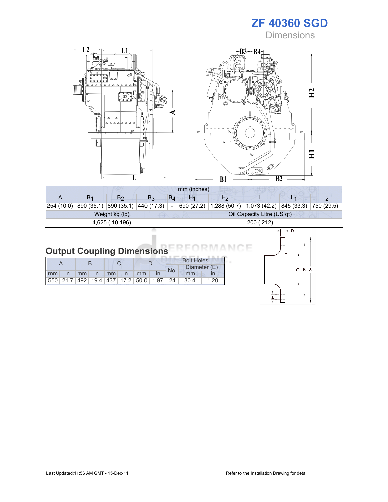**Dimensions** 



| mm (inches)    |                |                                  |                |       |                |                                                                    |                            |  |  |  |
|----------------|----------------|----------------------------------|----------------|-------|----------------|--------------------------------------------------------------------|----------------------------|--|--|--|
| A              | B <sub>1</sub> | B2                               | B <sub>3</sub> | $B_4$ | H <sub>1</sub> | H <sub>2</sub>                                                     |                            |  |  |  |
| 254 (10.0)     |                | 890 (35.1) 890 (35.1) 440 (17.3) |                |       |                | 690 (27.2)   1,288 (50.7)   1,073 (42.2)   845 (33.3)   750 (29.5) |                            |  |  |  |
|                |                | Weight kg (lb)                   |                |       |                |                                                                    | Oil Capacity Litre (US qt) |  |  |  |
| 4,625 (10,196) |                |                                  |                |       | 200 (212)      |                                                                    |                            |  |  |  |
|                |                |                                  |                |       |                |                                                                    |                            |  |  |  |

١F МC

 $C$   $B$   $A$ 

## Output Coupling Dimensions

|    |              |    |              |                   |    |                                                         | <b>Bolt Holes</b> |       |              |  |
|----|--------------|----|--------------|-------------------|----|---------------------------------------------------------|-------------------|-------|--------------|--|
|    |              |    |              |                   |    |                                                         | No.               |       | Diameter (E) |  |
| mm | $\mathsf{I}$ | mm | $\mathsf{I}$ | $\blacksquare$ mm | In | mm                                                      |                   | mm    |              |  |
|    |              |    |              |                   |    | 550   21.7   492   19.4   437   17.2   50.0   1.97   24 |                   | -30.4 | 1.20         |  |